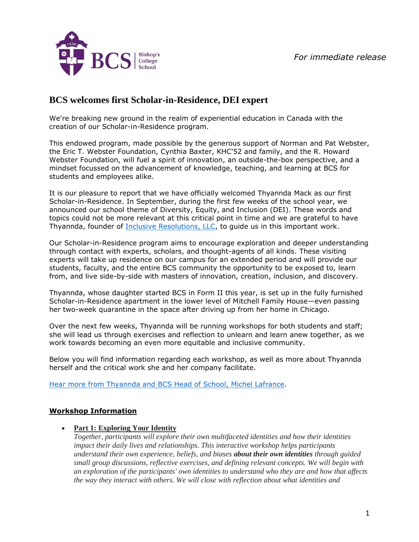

# **BCS welcomes first Scholar-in-Residence, DEI expert**

We're breaking new ground in the realm of experiential education in Canada with the creation of our Scholar-in-Residence program.

This endowed program, made possible by the generous support of Norman and Pat Webster, the Eric T. Webster Foundation, Cynthia Baxter, KHC'52 and family, and the R. Howard Webster Foundation, will fuel a spirit of innovation, an outside-the-box perspective, and a mindset focussed on the advancement of knowledge, teaching, and learning at BCS for students and employees alike.

It is our pleasure to report that we have officially welcomed Thyannda Mack as our first Scholar-in-Residence. In September, during the first few weeks of the school year, we announced our school theme of Diversity, Equity, and Inclusion (DEI). These words and topics could not be more relevant at this critical point in time and we are grateful to have Thyannda, founder of [Inclusive Resolutions, LLC,](http://inclusiveresolutions.com/) to guide us in this important work.

Our Scholar-in-Residence program aims to encourage exploration and deeper understanding through contact with experts, scholars, and thought-agents of all kinds. These visiting experts will take up residence on our campus for an extended period and will provide our students, faculty, and the entire BCS community the opportunity to be exposed to, learn from, and live side-by-side with masters of innovation, creation, inclusion, and discovery.

Thyannda, whose daughter started BCS in Form II this year, is set up in the fully furnished Scholar-in-Residence apartment in the lower level of Mitchell Family House—even passing her two-week quarantine in the space after driving up from her home in Chicago.

Over the next few weeks, Thyannda will be running workshops for both students and staff; she will lead us through exercises and reflection to unlearn and learn anew together, as we work towards becoming an even more equitable and inclusive community.

Below you will find information regarding each workshop, as well as more about Thyannda herself and the critical work she and her company facilitate.

[Hear more from Thyannda and BCS Head of School, Michel Lafrance.](https://youtu.be/O_-883SwfQM)

## **Workshop Information**

• **Part 1: Exploring Your Identity**

*Together, participants will explore their own multifaceted identities and how their identities impact their daily lives and relationships. This interactive workshop helps participants understand their own experience, beliefs, and biases about their own identities through guided small group discussions, reflective exercises, and defining relevant concepts. We will begin with an exploration of the participants' own identities to understand who they are and how that affects the way they interact with others. We will close with reflection about what identities and*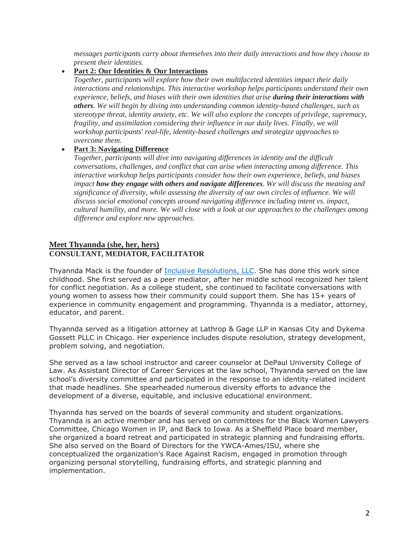*messages participants carry about themselves into their daily interactions and how they choose to present their identities.*

### • **Part 2: Our Identities & Our Interactions**

*Together, participants will explore how their own multifaceted identities impact their daily interactions and relationships. This interactive workshop helps participants understand their own experience, beliefs, and biases with their own identities that arise during their interactions with others. We will begin by diving into understanding common identity-based challenges, such as stereotype threat, identity anxiety, etc. We will also explore the concepts of privilege, supremacy, fragility, and assimilation considering their influence in our daily lives. Finally, we will workshop participants' real-life, identity-based challenges and strategize approaches to overcome them.*

#### • **Part 3: Navigating Difference**

*Together, participants will dive into navigating differences in identity and the difficult conversations, challenges, and conflict that can arise when interacting among difference. This interactive workshop helps participants consider how their own experience, beliefs, and biases impact how they engage with others and navigate differences. We will discuss the meaning and significance of diversity, while assessing the diversity of our own circles of influence. We will discuss social emotional concepts around navigating difference including intent vs. impact, cultural humility, and more. We will close with a look at our approaches to the challenges among difference and explore new approaches.*

#### **Meet Thyannda (she, her, hers) CONSULTANT, MEDIATOR, FACILITATOR**

Thyannda Mack is the founder of [Inclusive Resolutions, LLC.](http://inclusiveresolutions.com/) She has done this work since childhood. She first served as a peer mediator, after her middle school recognized her talent for conflict negotiation. As a college student, she continued to facilitate conversations with young women to assess how their community could support them. She has 15+ years of experience in community engagement and programming. Thyannda is a mediator, attorney, educator, and parent.

Thyannda served as a litigation attorney at Lathrop & Gage LLP in Kansas City and Dykema Gossett PLLC in Chicago. Her experience includes dispute resolution, strategy development, problem solving, and negotiation.

She served as a law school instructor and career counselor at DePaul University College of Law. As Assistant Director of Career Services at the law school, Thyannda served on the law school's diversity committee and participated in the response to an identity-related incident that made headlines. She spearheaded numerous diversity efforts to advance the development of a diverse, equitable, and inclusive educational environment.

Thyannda has served on the boards of several community and student organizations. Thyannda is an active member and has served on committees for the Black Women Lawyers Committee, Chicago Women in IP, and Back to Iowa. As a Sheffield Place board member, she organized a board retreat and participated in strategic planning and fundraising efforts. She also served on the Board of Directors for the YWCA-Ames/ISU, where she conceptualized the organization's Race Against Racism, engaged in promotion through organizing personal storytelling, fundraising efforts, and strategic planning and implementation.